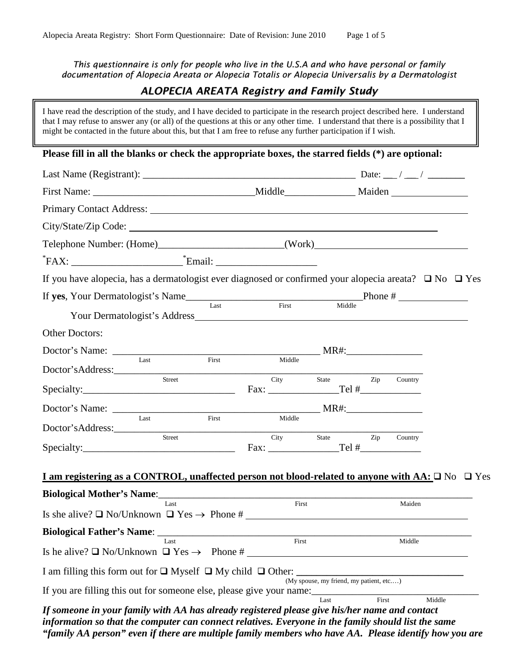*This questionnaire is only for people who live in the U.S.A and who have personal or family documentation of Alopecia Areata or Alopecia Totalis or Alopecia Universalis by a Dermatologist*

## *ALOPECIA AREATA Registry and Family Study*

I have read the description of the study, and I have decided to participate in the research project described here. I understand that I may refuse to answer any (or all) of the questions at this or any other time. I understand that there is a possibility that I might be contacted in the future about this, but that I am free to refuse any further participation if I wish. **Please fill in all the blanks or check the appropriate boxes, the starred fields (\*) are optional:**  Last Name (Registrant):  $\Box$ First Name: \_\_\_\_\_\_\_\_\_\_\_\_\_\_\_\_\_\_\_\_\_\_\_\_\_\_\_\_\_\_\_\_Middle\_\_\_\_\_\_\_\_\_\_\_\_\_\_ Maiden Primary Contact Address: City/State/Zip Code: Telephone Number: (Home)\_\_\_\_\_\_\_\_\_\_\_\_\_\_\_\_\_\_\_\_\_\_\_\_\_(Work) \* FAX: \_\_\_\_\_\_\_\_\_\_\_\_\_\_\_\_\_\_\_\_\_\_\* Email: \_\_\_\_\_\_\_\_\_\_\_\_\_\_\_\_\_\_\_\_ If you have alopecia, has a dermatologist ever diagnosed or confirmed your alopecia areata?  $\Box$  No  $\Box$  Yes If **yes**, Your Dermatologist's Name\_\_\_\_\_\_\_\_\_\_\_\_\_\_\_\_\_\_\_\_\_\_\_\_\_\_\_\_\_\_\_\_\_\_\_Phone # Last First Middle Your Dermatologist's Address Other Doctors:  $\text{Doctor's Name:}$   $\frac{1}{\text{last}}$   $\frac{1}{\text{First}}$   $\frac{1}{\text{First}}$   $\frac{1}{\text{Middle}}$ Last First Middle Doctor'sAddress:\_\_\_\_\_\_\_\_\_\_\_\_\_\_\_\_\_\_\_\_\_\_\_\_\_\_\_\_\_\_\_\_\_\_\_\_\_\_\_\_\_\_\_\_\_\_\_\_\_\_\_\_\_\_\_\_\_\_\_\_\_ State Zip Country  $Specialty:$   $\qquad \qquad \qquad$   $\qquad \qquad$   $\qquad \qquad$   $\qquad \qquad$   $\qquad \qquad$   $\qquad \qquad$   $\qquad \qquad$   $\qquad \qquad$   $\qquad \qquad$   $\qquad \qquad$   $\qquad \qquad$   $\qquad \qquad$   $\qquad \qquad$   $\qquad \qquad$   $\qquad \qquad$   $\qquad \qquad$   $\qquad \qquad$   $\qquad \qquad$   $\qquad \qquad$   $\qquad \qquad$   $\qquad \qquad$   $\qquad \qquad$   $\qquad \qquad$   $\q$ Doctor's Name: \_\_\_\_\_\_\_\_\_\_\_\_\_\_\_\_\_\_\_\_\_\_\_\_\_\_\_\_\_\_\_\_\_\_\_\_\_\_\_\_\_ MR#:\_\_\_\_\_\_\_\_\_\_\_\_\_\_\_ Last First Middle Doctor'sAddress: Street City State Zip Country Specialty: The state of the state of the state of the state of the state of the state of the state of the state of the state of the state of the state of the state of the state of the state of the state of the state of the **I** am registering as a CONTROL, unaffected person not blood-related to anyone with  $AA: \Box$  No  $\Box$  Yes **Biological Mother's Name:**<br>Last First First Maiden Last Maiden **Example 2018** First **Maiden** Is she alive?  $\Box$  No/Unknown  $\Box$  Yes  $\rightarrow$  Phone # **Biological Father's Name**: \_\_\_\_\_\_\_\_\_\_\_\_\_\_\_\_\_\_\_\_\_\_\_\_\_\_\_\_\_\_\_\_\_\_\_\_\_\_\_\_\_\_\_\_\_\_\_\_\_\_\_\_\_\_\_\_\_\_\_\_\_\_ Last First Middle Is he alive?  $\Box$  No/Unknown  $\Box$  Yes  $\rightarrow$  Phone #

I am filling this form out for  $\Box$  Myself  $\Box$  My child  $\Box$  Other:

(My spouse, my friend, my patient, etc.…) If you are filling this out for someone else, please give your name:<br>Last First Middle

*If someone in your family with AA has already registered please give his/her name and contact information so that the computer can connect relatives. Everyone in the family should list the same "family AA person" even if there are multiple family members who have AA. Please identify how you are*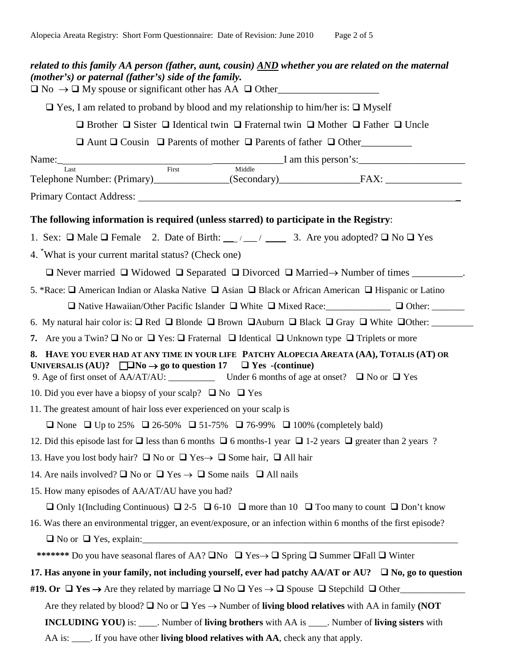| related to this family AA person (father, aunt, cousin) AND whether you are related on the maternal<br>(mother's) or paternal (father's) side of the family.<br>$\Box$ No $\rightarrow \Box$ My spouse or significant other has AA $\Box$ Other |  |  |  |  |  |
|-------------------------------------------------------------------------------------------------------------------------------------------------------------------------------------------------------------------------------------------------|--|--|--|--|--|
| $\Box$ Yes, I am related to proband by blood and my relationship to him/her is: $\Box$ Myself                                                                                                                                                   |  |  |  |  |  |
| $\Box$ Brother $\Box$ Sister $\Box$ Identical twin $\Box$ Fraternal twin $\Box$ Mother $\Box$ Father $\Box$ Uncle                                                                                                                               |  |  |  |  |  |
| $\Box$ Aunt $\Box$ Cousin $\Box$ Parents of mother $\Box$ Parents of father $\Box$ Other                                                                                                                                                        |  |  |  |  |  |
| Name: Last First Middle I am this person's:                                                                                                                                                                                                     |  |  |  |  |  |
|                                                                                                                                                                                                                                                 |  |  |  |  |  |
|                                                                                                                                                                                                                                                 |  |  |  |  |  |
| The following information is required (unless starred) to participate in the Registry:                                                                                                                                                          |  |  |  |  |  |
| 1. Sex: $\Box$ Male $\Box$ Female 2. Date of Birth: __/ __/ ___ 3. Are you adopted? $\Box$ No $\Box$ Yes                                                                                                                                        |  |  |  |  |  |
| 4. "What is your current marital status? (Check one)                                                                                                                                                                                            |  |  |  |  |  |
| $\Box$ Never married $\Box$ Widowed $\Box$ Separated $\Box$ Divorced $\Box$ Married $\rightarrow$ Number of times _________.                                                                                                                    |  |  |  |  |  |
| 5. *Race: □ American Indian or Alaska Native □ Asian □ Black or African American □ Hispanic or Latino                                                                                                                                           |  |  |  |  |  |
| $\Box$ Native Hawaiian/Other Pacific Islander $\Box$ White $\Box$ Mixed Race: $\Box$ $\Box$ Other: $\Box$                                                                                                                                       |  |  |  |  |  |
|                                                                                                                                                                                                                                                 |  |  |  |  |  |
| 7. Are you a Twin? $\Box$ No or $\Box$ Yes: $\Box$ Fraternal $\Box$ Identical $\Box$ Unknown type $\Box$ Triplets or more                                                                                                                       |  |  |  |  |  |
| 8. HAVE YOU EVER HAD AT ANY TIME IN YOUR LIFE PATCHY ALOPECIA AREATA (AA), TOTALIS (AT) OR<br>UNIVERSALIS (AU)? $\square$ No $\rightarrow$ go to question 17 $\square$ Yes -(continue)                                                          |  |  |  |  |  |
| 10. Did you ever have a biopsy of your scalp? $\Box$ No $\Box$ Yes                                                                                                                                                                              |  |  |  |  |  |
| 11. The greatest amount of hair loss ever experienced on your scalp is                                                                                                                                                                          |  |  |  |  |  |
| <b>O</b> None <b>O</b> Up to 25% <b>O</b> 26-50% <b>O</b> 51-75% <b>O</b> 76-99% <b>O</b> 100% (completely bald)                                                                                                                                |  |  |  |  |  |
| 12. Did this episode last for $\Box$ less than 6 months $\Box$ 6 months-1 year $\Box$ 1-2 years $\Box$ greater than 2 years ?                                                                                                                   |  |  |  |  |  |
| 13. Have you lost body hair? $\Box$ No or $\Box$ Yes $\rightarrow \Box$ Some hair, $\Box$ All hair                                                                                                                                              |  |  |  |  |  |
| 14. Are nails involved? $\Box$ No or $\Box$ Yes $\rightarrow \Box$ Some nails $\Box$ All nails                                                                                                                                                  |  |  |  |  |  |
| 15. How many episodes of AA/AT/AU have you had?                                                                                                                                                                                                 |  |  |  |  |  |
| $\Box$ Only 1 (Including Continuous) $\Box$ 2-5 $\Box$ 6-10 $\Box$ more than 10 $\Box$ Too many to count $\Box$ Don't know                                                                                                                      |  |  |  |  |  |
| 16. Was there an environmental trigger, an event/exposure, or an infection within 6 months of the first episode?                                                                                                                                |  |  |  |  |  |
| $\Box$ No or $\Box$ Yes, explain:                                                                                                                                                                                                               |  |  |  |  |  |
| ******* Do you have seasonal flares of AA? $\square$ No $\square$ Yes $\rightarrow \square$ Spring $\square$ Summer $\square$ Fall $\square$ Winter                                                                                             |  |  |  |  |  |
| 17. Has anyone in your family, not including yourself, ever had patchy $AA/AT$ or $AU$ ? $\square$ No, go to question                                                                                                                           |  |  |  |  |  |
| #19. Or $\Box$ Yes $\rightarrow$ Are they related by marriage $\Box$ No $\Box$ Yes $\rightarrow \Box$ Spouse $\Box$ Stepchild $\Box$ Other                                                                                                      |  |  |  |  |  |
| Are they related by blood? $\square$ No or $\square$ Yes $\rightarrow$ Number of <b>living blood relatives</b> with AA in family (NOT                                                                                                           |  |  |  |  |  |
| <b>INCLUDING YOU</b> ) is: _____. Number of <b>living brothers</b> with AA is ____. Number of <b>living sisters</b> with                                                                                                                        |  |  |  |  |  |

AA is: \_\_\_\_. If you have other **living blood relatives with AA**, check any that apply.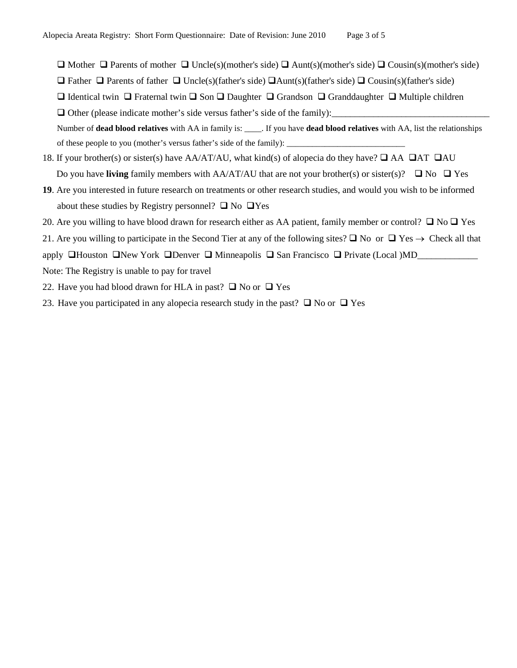- $\Box$  Mother  $\Box$  Parents of mother  $\Box$  Uncle(s)(mother's side)  $\Box$  Aunt(s)(mother's side)  $\Box$  Cousin(s)(mother's side)
- **D** Father **D** Parents of father **D** Uncle(s)(father's side) **D** Aunt(s)(father's side) **D** Cousin(s)(father's side)
- $□$  Identical twin  $□$  Fraternal twin  $□$  Son  $□$  Daughter  $□$  Grandson  $□$  Granddaughter  $□$  Multiple children

 $\Box$  Other (please indicate mother's side versus father's side of the family):

Number of **dead blood relatives** with AA in family is: \_\_\_\_. If you have **dead blood relatives** with AA, list the relationships of these people to you (mother's versus father's side of the family): \_

- 18. If your brother(s) or sister(s) have AA/AT/AU, what kind(s) of alopecia do they have?  $\Box$  AA  $\Box$ AT  $\Box$ AU Do you have **living** family members with AA/AT/AU that are not your brother(s) or sister(s)?  $\Box$  No  $\Box$  Yes
- **19**. Are you interested in future research on treatments or other research studies, and would you wish to be informed about these studies by Registry personnel?  $\Box$  No  $\Box$  Yes
- 20. Are you willing to have blood drawn for research either as AA patient, family member or control?  $\Box$  No  $\Box$  Yes

21. Are you willing to participate in the Second Tier at any of the following sites?  $\Box$  No or  $\Box$  Yes  $\rightarrow$  Check all that

apply  $\Box$  Houston  $\Box$  New York  $\Box$  Denver  $\Box$  Minneapolis  $\Box$  San Francisco  $\Box$  Private (Local )MD\_

- Note: The Registry is unable to pay for travel
- 22. Have you had blood drawn for HLA in past?  $\Box$  No or  $\Box$  Yes
- 23. Have you participated in any alopecia research study in the past?  $\Box$  No or  $\Box$  Yes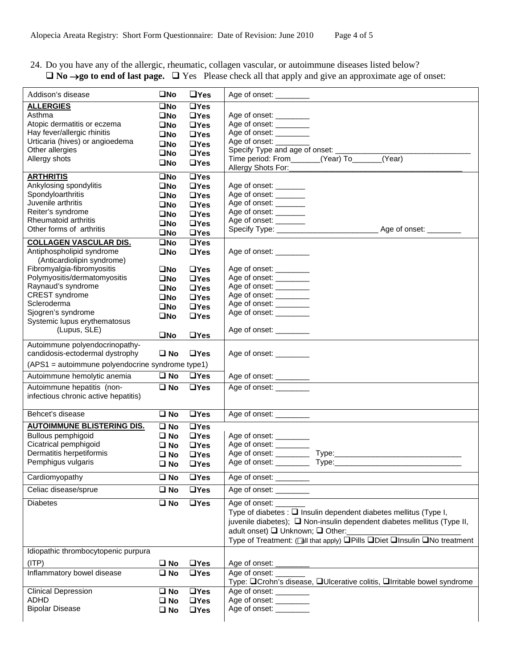## 24. Do you have any of the allergic, rheumatic, collagen vascular, or autoimmune diseases listed below? **No** →**go to end of last page.** Yes Please check all that apply and give an approximate age of onset:

| Addison's disease                                 | $\square$ No            | $\Box$ Yes            |                                                                                            |
|---------------------------------------------------|-------------------------|-----------------------|--------------------------------------------------------------------------------------------|
| <b>ALLERGIES</b>                                  | $\square$ No            | $\Box$ Yes            |                                                                                            |
| Asthma                                            | $\square$ No            | $\Box$ Yes            | Age of onset: ________                                                                     |
| Atopic dermatitis or eczema                       | $\square$ No            | $\Box$ Yes            | Age of onset: ________                                                                     |
| Hay fever/allergic rhinitis                       | $\square$ No            | $\Box$ Yes            | Age of onset: ________                                                                     |
| Urticaria (hives) or angioedema                   | $\square$ No            | $\Box$ Yes            | Age of onset: _________                                                                    |
| Other allergies                                   | $\square$ No            | $\Box$ Yes            | Specify Type and age of onset: _____________                                               |
| Allergy shots                                     | $\square$ No            | $\Box$ Yes            | Time period: From_______(Year) To_____(Year)                                               |
|                                                   |                         |                       |                                                                                            |
| <b>ARTHRITIS</b>                                  | $\square$ No            | $\Box$ Yes            |                                                                                            |
| Ankylosing spondylitis                            | $\square$ No            | $\Box$ Yes            | Age of onset: _______                                                                      |
| Spondyloarthritis                                 | $\square$ No            | $\Box$ Yes            | Age of onset: ________                                                                     |
| Juvenile arthritis                                | $\square$ No            | $\Box$ Yes            | Age of onset: _______                                                                      |
| Reiter's syndrome                                 | $\square$ No            | $\Box$ Yes            | Age of onset: _______                                                                      |
| Rheumatoid arthritis                              | $\square$ No            | $\Box$ Yes            | Age of onset: _______                                                                      |
| Other forms of arthritis                          | $\square$ No            | $\Box$ Yes            |                                                                                            |
| <b>COLLAGEN VASCULAR DIS.</b>                     | $\square$ No            | $\Box$ Yes            |                                                                                            |
| Antiphospholipid syndrome                         | $\square$ No            | $\Box$ Yes            | Age of onset: _________                                                                    |
| (Anticardiolipin syndrome)                        |                         |                       |                                                                                            |
| Fibromyalgia-fibromyositis                        | $\square$ No            | $\Box$ Yes            | Age of onset: ________                                                                     |
| Polymyositis/dermatomyositis                      | $\square$ No            | $\Box$ Yes            | Age of onset: ________                                                                     |
| Raynaud's syndrome                                | $\square$ No            | $\Box$ Yes            | Age of onset: ________                                                                     |
| <b>CREST</b> syndrome                             | $\square$ No            | $\Box$ Yes            | Age of onset: ________                                                                     |
| Scleroderma                                       | $\square$ No            | $\Box$ Yes            | Age of onset: ________                                                                     |
| Sjogren's syndrome                                | $\square$ No            | $\Box$ Yes            | Age of onset: ________                                                                     |
| Systemic lupus erythematosus                      |                         |                       |                                                                                            |
| (Lupus, SLE)                                      | $\square$ No            | $\Box$ Yes            | Age of onset: _________                                                                    |
| Autoimmune polyendocrinopathy-                    |                         |                       |                                                                                            |
| candidosis-ectodermal dystrophy                   | $\square$ No            | $\Box$ Yes            | Age of onset: ________                                                                     |
| (APS1 = autoimmune polyendocrine syndrome type1)  |                         |                       |                                                                                            |
| Autoimmune hemolytic anemia                       | $\square$ No            | $\Box$ Yes            |                                                                                            |
| Autoimmune hepatitis (non-                        | $\overline{\square}$ No | $\overline{a}$ Yes    | Age of onset: ________                                                                     |
| infectious chronic active hepatitis)              |                         |                       |                                                                                            |
| Behcet's disease                                  | $\square$ No            | $\Box$ Yes            |                                                                                            |
|                                                   |                         |                       | Age of onset:                                                                              |
| <b>AUTOIMMUNE BLISTERING DIS.</b>                 | $\square$ No            | $\Box$ Yes            |                                                                                            |
| Bullous pemphigoid                                | $\square$ No            | $\Box$ Yes            | Age of onset: ________                                                                     |
| Cicatrical pemphigoid<br>Dermatitis herpetiformis | $\square$ No            | $\Box$ Yes            | Age of onset: ________                                                                     |
|                                                   | $\square$ No            | $\Box$ Yes            |                                                                                            |
| Pemphigus vulgaris                                | $\square$ No            | $\Box$ Yes            | Age of onset: ___________ Type:_                                                           |
| Cardiomyopathy                                    | $\square$ No            | $\overline{\Box}$ Yes | Age of onset:                                                                              |
| Celiac disease/sprue                              | $\square$ No            | $\Box$ Yes            | Age of onset:                                                                              |
| <b>Diabetes</b>                                   | $\square$ No            | $\Box$ Yes            | Age of onset: ________                                                                     |
|                                                   |                         |                       | Type of diabetes : $\square$ Insulin dependent diabetes mellitus (Type I,                  |
|                                                   |                         |                       | juvenile diabetes); $\Box$ Non-insulin dependent diabetes mellitus (Type II,               |
|                                                   |                         |                       | adult onset) □ Unknown; □ Other:                                                           |
|                                                   |                         |                       | Type of Treatment: ([all that apply) <b>QPills QDiet QInsulin QNo treatment</b>            |
| Idiopathic thrombocytopenic purpura               |                         |                       |                                                                                            |
| (ITP)                                             |                         |                       |                                                                                            |
| Inflammatory bowel disease                        | $\square$ No            | $\Box$ Yes            |                                                                                            |
|                                                   | $\square$ No            | $\Box$ Yes            | Age of onset:<br>Type: □ Crohn's disease, □ Ulcerative colitis, □ Irritable bowel syndrome |
|                                                   |                         |                       |                                                                                            |
| <b>Clinical Depression</b><br><b>ADHD</b>         | $\square$ No            | $\Box$ Yes            | Age of onset: ________<br>Age of onset: _________                                          |
| <b>Bipolar Disease</b>                            | $\square$ No            | $\Box$ Yes            | Age of onset: _________                                                                    |
|                                                   | $\square$ No            | $\Box$ Yes            |                                                                                            |
|                                                   |                         |                       |                                                                                            |